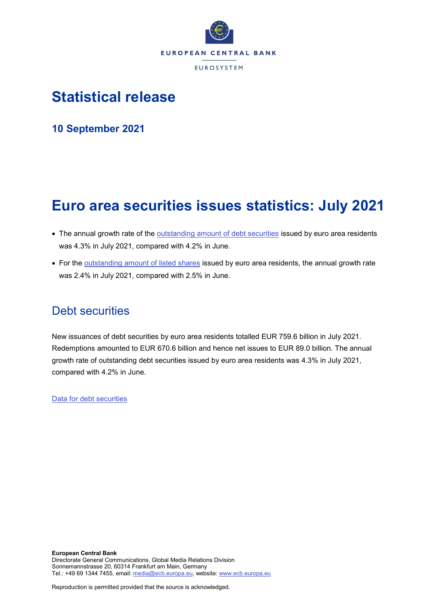

# **Statistical release**

**10 September 2021**

# **Euro area securities issues statistics: July 2021**

- The annual growth rate of the **outstanding amount of debt securities** issued by euro area residents was 4.3% in July 2021, compared with 4.2% in June.
- For the [outstanding amount of listed shares](http://sdw.ecb.europa.eu/quickview.do?SERIES_KEY=130.SEC.M.I8.1000.F51100.M.I.Z01.A.Z) issued by euro area residents, the annual growth rate was 2.4% in July 2021, compared with 2.5% in June.

# Debt securities

New issuances of debt securities by euro area residents totalled EUR 759.6 billion in July 2021. Redemptions amounted to EUR 670.6 billion and hence net issues to EUR 89.0 billion. The annual growth rate of outstanding debt securities issued by euro area residents was 4.3% in July 2021, compared with 4.2% in June.

[Data for debt securities](http://sdw.ecb.europa.eu/browseSelection.do?type=series&q=SEC.M.I8.1000.F33000.N.2.Z01.E.Z%2c+SEC.M.I8.1000.F33000.N.3.Z01.E.Z%2c+SEC.M.I8.1000.F33000.N.4.Z01.E.Z%2c+SEC.M.I8.1000.F33000.N.I.Z01.A.Z&node=SEARCHRESULTS&ec=&oc=&rc=&cv=&pb=&dc=&df=)

Reproduction is permitted provided that the source is acknowledged.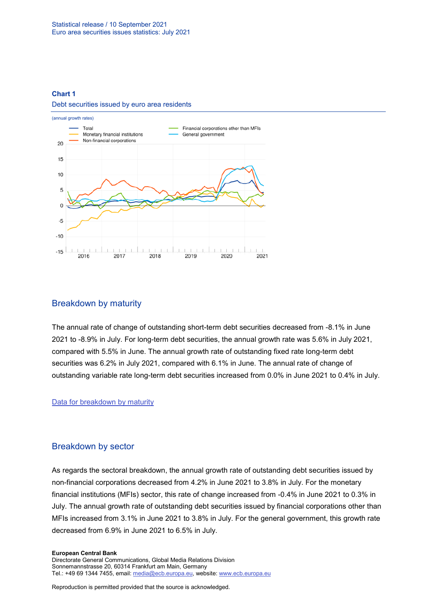### **Chart 1**

#### Debt securities issued by euro area residents



# Breakdown by maturity

The annual rate of change of outstanding short-term debt securities decreased from -8.1% in June 2021 to -8.9% in July. For long-term debt securities, the annual growth rate was 5.6% in July 2021, compared with 5.5% in June. The annual growth rate of outstanding fixed rate long-term debt securities was 6.2% in July 2021, compared with 6.1% in June. The annual rate of change of outstanding variable rate long-term debt securities increased from 0.0% in June 2021 to 0.4% in July.

## [Data for breakdown by maturity](http://sdw.ecb.europa.eu/browseSelection.do?type=series&q=SEC.M.I8.1000.F33100.N.I.Z01.A.Z%2c+SEC.M.I8.1000.F33200.N.I.Z01.A.Z%2c+SEC.M.I8.1000.F33201.N.I.Z01.A.Z%2c+SEC.M.I8.1000.F33202.N.I.Z01.A.Z&node=SEARCHRESULTS&ec=&oc=&rc=&cv=&pb=&dc=&df=)

# Breakdown by sector

As regards the sectoral breakdown, the annual growth rate of outstanding debt securities issued by non-financial corporations decreased from 4.2% in June 2021 to 3.8% in July. For the monetary financial institutions (MFIs) sector, this rate of change increased from -0.4% in June 2021 to 0.3% in July. The annual growth rate of outstanding debt securities issued by financial corporations other than MFIs increased from 3.1% in June 2021 to 3.8% in July. For the general government, this growth rate decreased from 6.9% in June 2021 to 6.5% in July.

#### **European Central Bank**

Directorate General Communications, Global Media Relations Division Sonnemannstrasse 20, 60314 Frankfurt am Main, Germany Tel.: +49 69 1344 7455, email[: media@ecb.europa.eu,](mailto:media@ecb.europa.eu) website: www.ecb.europa.eu

Reproduction is permitted provided that the source is acknowledged.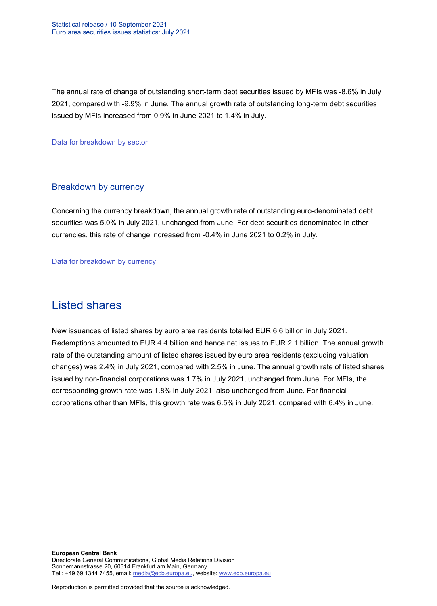The annual rate of change of outstanding short-term debt securities issued by MFIs was -8.6% in July 2021, compared with -9.9% in June. The annual growth rate of outstanding long-term debt securities issued by MFIs increased from 0.9% in June 2021 to 1.4% in July.

[Data for breakdown by sector](http://sdw.ecb.europa.eu/browseSelection.do?type=series&q=SEC.M.I8.1100.F33000.N.I.Z01.A.Z%2cSEC.M.I8.1220.F33000.N.I.Z01.A.Z%2cSEC.M.I8.1235.F33000.N.I.Z01.A.Z%2cSEC.M.I8.1300.F33000.N.I.Z01.A.Z%2cSEC.M.I8.1220.F33100.N.I.Z01.A.Z%2cSEC.M.I8.1220.F33200.N.I.Z01.A.Z&node=SEARCHRESULTS&ec=&oc=&rc=&cv=&pb=&dc=&df=)

# Breakdown by currency

Concerning the currency breakdown, the annual growth rate of outstanding euro-denominated debt securities was 5.0% in July 2021, unchanged from June. For debt securities denominated in other currencies, this rate of change increased from -0.4% in June 2021 to 0.2% in July.

[Data for breakdown by currency](http://sdw.ecb.europa.eu/browseSelection.do?type=series&q=SEC.M.I8.1000.F33000.N.I.EUR.A.Z%2cSEC.M.I8.1000.F33000.N.I.Z06.A.Z&node=SEARCHRESULTS&ec=&oc=&rc=&cv=&pb=&dc=&df=)

# Listed shares

New issuances of listed shares by euro area residents totalled EUR 6.6 billion in July 2021. Redemptions amounted to EUR 4.4 billion and hence net issues to EUR 2.1 billion. The annual growth rate of the outstanding amount of listed shares issued by euro area residents (excluding valuation changes) was 2.4% in July 2021, compared with 2.5% in June. The annual growth rate of listed shares issued by non-financial corporations was 1.7% in July 2021, unchanged from June. For MFIs, the corresponding growth rate was 1.8% in July 2021, also unchanged from June. For financial corporations other than MFIs, this growth rate was 6.5% in July 2021, compared with 6.4% in June.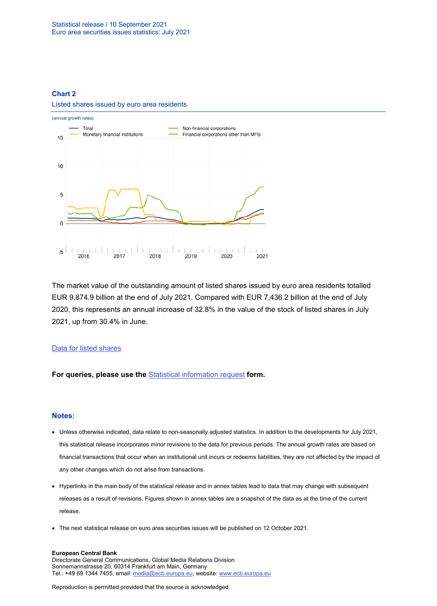# **Chart 2** Listed shares issued by euro area residents



The market value of the outstanding amount of listed shares issued by euro area residents totalled EUR 9,874.9 billion at the end of July 2021. Compared with EUR 7,436.2 billion at the end of July 2020, this represents an annual increase of 32.8% in the value of the stock of listed shares in July 2021, up from 30.4% in June.

# [Data for listed shares](http://sdw.ecb.europa.eu/browseSelection.do?type=series&q=SEC.M.I8.1000.F51100.M.2.Z01.E.Z%2cSEC.M.I8.1000.F51100.M.3.Z01.E.Z%2cSEC.M.I8.1000.F51100.M.4.Z01.E.Z%2cSEC.M.I8.1000.F51100.M.I.Z01.A.Z%2cSEC.M.I8.1100.F51100.M.I.Z01.A.Z%2cSEC.M.I8.1220.F51100.M.I.Z01.A.Z%2cSEC.M.I8.1235.F51100.M.I.Z01.A.Z%2cSEC.M.I8.1000.F51100.M.1.Z01.E.Z&node=SEARCHRESULTS&ec=&oc=&rc=&cv=&pb=&dc=&df=)

**For queries, please use the** [Statistical information request](https://ecb-registration.escb.eu/statistical-information) **form.**

### **Notes:**

- Unless otherwise indicated, data relate to non-seasonally adjusted statistics. In addition to the developments for July 2021, this statistical release incorporates minor revisions to the data for previous periods. The annual growth rates are based on financial transactions that occur when an institutional unit incurs or redeems liabilities, they are not affected by the impact of any other changes which do not arise from transactions.
- Hyperlinks in the main body of the statistical release and in annex tables lead to data that may change with subsequent releases as a result of revisions. Figures shown in annex tables are a snapshot of the data as at the time of the current release.
- The next statistical release on euro area securities issues will be published on 12 October 2021.

#### **European Central Bank**

Directorate General Communications, Global Media Relations Division Sonnemannstrasse 20, 60314 Frankfurt am Main, Germany Tel.: +49 69 1344 7455, email[: media@ecb.europa.eu,](mailto:media@ecb.europa.eu) website: www.ecb.europa.eu

Reproduction is permitted provided that the source is acknowledged.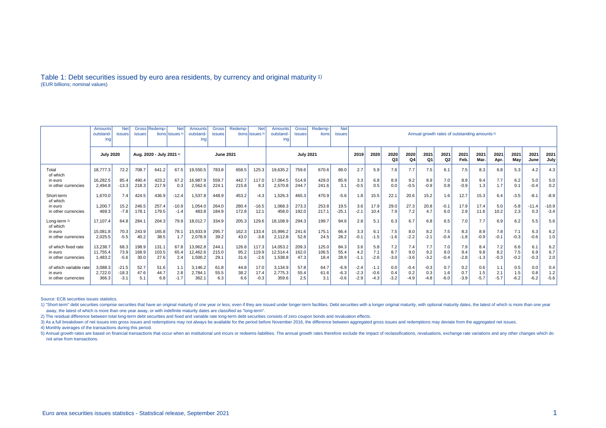### Table 1: Debt securities issued by euro area residents, by currency and original maturity 1) (EUR billions; nominal values)

|                          | Gross Redemp-<br><b>Net</b><br><b>Net</b><br>Amounts<br>outstand<br><b>issues</b><br>tions lissues <sup>3</sup><br><b>issues</b><br>ing |         |                          |       |         | Amounts<br>outstand-<br>ing | Gross<br><b>issues</b> | Redemp- | <b>Net</b><br>tions issues <sup>3</sup> | <b>Amounts</b><br>outstand-<br>ına | <b>Gross</b><br>issues | Redemp-<br>tions | <b>Net</b><br><b>issues</b> | Annual growth rates of outstanding amounts <sup>5)</sup> |            |                        |                        |            |              |             |              |             |              |              |         |
|--------------------------|-----------------------------------------------------------------------------------------------------------------------------------------|---------|--------------------------|-------|---------|-----------------------------|------------------------|---------|-----------------------------------------|------------------------------------|------------------------|------------------|-----------------------------|----------------------------------------------------------|------------|------------------------|------------------------|------------|--------------|-------------|--------------|-------------|--------------|--------------|---------|
|                          | <b>July 2020</b>                                                                                                                        |         | Aug. 2020 - July 2021 4) |       |         | <b>June 2021</b>            |                        |         | <b>July 2021</b>                        |                                    |                        |                  | 2019                        | 2020                                                     | 2020<br>Q3 | 2020<br>Q <sub>4</sub> | 2021<br>Q <sub>1</sub> | 2021<br>Q2 | 2021<br>Feb. | 2021<br>Mar | 2021<br>Apr. | 2021<br>Mav | 2021<br>June | 2021<br>July |         |
| Total<br>of which        | 18.777.3                                                                                                                                | 72.2    | 708.7                    | 641.2 | 67.5    | 19,550.5                    | 783.8                  | 658.5   | 125.3                                   | 19,635.2                           | 759.6                  | 670.6            | 89.0                        | 2.7                                                      | 5.9        | 7.6                    | 7.7                    | 7.5        | 6.1          | 7.5         | 8.3          | 6.8         | 5.3          | 4.2          | 4.3     |
| in euro                  | 16.282.5                                                                                                                                | 85.4    | 490.4                    | 423.2 | 67.2    | 16,987.9                    | 559.7                  | 442.7   | 117.0                                   | 17,064.5                           | 514.9                  | 429.0            | 85.9                        | 3.3                                                      | 6.8        | 8.9                    | 9.2                    | 8.9        | 7.0          | 8.9         | 9.4          | 7.7         | 6.2          | 5.0          | 5.0     |
| in other currencies      | 2.494.8                                                                                                                                 | $-13.3$ | 218.3                    | 217.9 | 0.3     | 2,562.6                     | 224.1                  | 215.8   | 8.3                                     | 2,570.8                            | 244.7                  | 241.6            | 3.1                         | $-0.5$                                                   | 0.5        | 0.0                    | $-0.5$                 | $-0.9$     | 0.8          | $-0.9$      | 1.3          | 1.7         | 0.1          | $-0.4$       | 0.2     |
| Short-term<br>of which   | 1.670.0                                                                                                                                 | 7.4     | 424.5                    | 436.9 | $-12.4$ | 1,537.8                     | 448.9                  | 453.2   | $-4.3$                                  | 1,526.3                            | 465.3                  | 470.9            | $-5.6$                      | 1.8                                                      | 15.5       | 22.1                   | 20.6                   | 15.2       | 1.6          | 12.7        | 15.3         | 6.4         | $-3.5$       | $-8.7$       | $-8.9$  |
| in euro                  | 1.200.7                                                                                                                                 | 15.2    | 246.5                    | 257.4 | $-10.9$ | 1,054.0                     | 264.0                  | 280.4   | $-16.5$                                 | 1,068.3                            | 273.3                  | 253.8            | 19.5                        | 3.6                                                      | 17.9       | 29.0                   | 27.3                   | 20.8       | $-0.1$       | 17.9        | 17.4         | 5.0         | $-5.8$       | $-11.4$      | $-10.9$ |
| in other currencies      | 469.3                                                                                                                                   | $-7.8$  | 178.1                    | 179.5 | $-1.4$  | 483.8                       | 184.9                  | 172.8   | 12.1                                    | 458.0                              | 192.0                  | 217.1            | $-25.1$                     | $-2.1$                                                   | 10.4       | 7.9                    | 7.2                    | 4.7        | 6.0          | 2.9         | 11.6         | 10.2        | 2.3          | 0.3          | $-3.4$  |
| Long-term 2)<br>of which | 17.107.4                                                                                                                                | 64.8    | 284.1                    | 204.3 | 79.9    | 18,012.7                    | 334.9                  | 205.3   | 129.6                                   | 18,108.9                           | 294.3                  | 199.7            | 94.6                        | 2.8                                                      | 5.1        | 6.3                    | 6.7                    | 6.8        | 6.5          | 7.0         | 7.7          | 6.9         | 6.2          | 5.5          | 5.6     |
| in euro                  | 15.081.8                                                                                                                                | 70.3    | 243.9                    | 165.8 | 78.1    | 15,933.9                    | 295.7                  | 162.3   | 133.4                                   | 15,996.2                           | 241.6                  | 175.1            | 66.4                        | 3.3                                                      | 6.1        | 7.5                    | 8.0                    | 8.2        | 7.5          | 8.3         | 8.9          | 7.8         | 7.1          | 6.3          | 6.2     |
| in other currencies      | 2.025.5                                                                                                                                 | $-5.5$  | 40.2                     | 38.5  | 1.7     | 2,078.9                     | 39.2                   | 43.0    | $-3.8$                                  | 2,112.8                            | 52.8                   | 24.5             | 28.2                        | $-0.1$                                                   | $-1.5$     | $-1.6$                 | $-2.2$                 | $-2.1$     | $-0.4$       | $-1.8$      | $-0.9$       | $-0.1$      | $-0.3$       | $-0.6$       | 1.0     |
| of which fixed rate      | 13.238.7                                                                                                                                | 68.3    | 198.9                    | 131.1 | 67.8    | 13.962.8                    | 244.1                  | 126.8   | 117.3                                   | 14.053.2                           | 209.3                  | 125.0            | 84.3                        | 3.6                                                      | 5.8        | 7.2                    | 7.4                    | 7.7        | 7.0          | 7.9         | 8.4          | 7.2         | 6.6          | 6.1          | 6.2     |
| in euro                  | 11.755.4                                                                                                                                | 73.9    | 168.9                    | 103.5 | 65.4    | 12,462.6                    | 215.0                  | 95.2    | 119.9                                   | 12,514.4                           | 162.0                  | 106.5            | 55.4                        | 4.2                                                      | 7.1        | 8.7                    | 9.0                    | 9.2        | 8.0          | 9.4         | 9.8          | 8.2         | 7.5          | 6.9          | 6.7     |
| in other currencies      | 1,483.2                                                                                                                                 | $-5.6$  | 30.0                     | 27.6  | 2.4     | 1,500.2                     | 29.1                   | 31.6    | $-2.6$                                  | 1,538.8                            | 47.3                   | 18.4             | 28.9                        | $-1.1$                                                   | $-2.6$     | $-3.0$                 | $-3.6$                 | $-3.2$     | $-0.4$       | $-2.8$      | $-1.3$       | $-0.3$      | $-0.2$       | $-0.3$       | 2.0     |
| of which variable rate   | 3.088.3                                                                                                                                 | $-21.5$ | 52.7                     | 51.6  | 1.1     | 3.146.2                     | 61.8                   | 44.8    | 17.0                                    | 3,134.9                            | 57.8                   | 64.7             | $-6.9$                      | $-2.4$                                                   | $-1.1$     | 0.0                    | $-0.4$                 | $-0.3$     | 0.7          | 0.2         | 0.6          | 1.1         | 0.5          | 0.0          | 0.4     |
| in euro                  | 2.722.0                                                                                                                                 | $-18.3$ | 47.6                     | 44.7  | 2.8     | 2,784.1                     | 55.5                   | 38.2    | 17.4                                    | 2.775.3                            | 55.4                   | 61.6             | $-6.3$                      | $-2.3$                                                   | $-0.6$     | 0.4                    | 0.2                    | 0.3        | 1.6          | 0.7         | 1.5          | 2.1         | 1.5          | 0.8          | 1.2     |
| in other currencies      | 366.3                                                                                                                                   | $-3.7$  | 5.1                      | 6.8   | $-1.7$  | 362.1                       | 6.3                    | 6.6     | $-0.3$                                  | 359.6                              | 2.5                    | 3.1              | $-0.6$                      | $-2.9$                                                   | $-4.3$     | $-3.2$                 | $-4.9$                 | -4.8       | $-6.0$       | $-3.9$      | $-5.7$       | $-5.7$      | $-6.2$       | $-6.2$       | $-5.6$  |

Source: ECB securities issues statistics.

1) "Short-term" debt securities comprise securities that have an original maturity of one year or less, even if they are issued under longer-term facilities. Debt securities with a longer original maturity, with optional m away, the latest of which is more than one year away, or with indefinite maturity dates are classified as "long-term".

2) The residual difference between total long-term debt securities and fixed and variable rate long-term debt securities consists of zero coupon bonds and revaluation effects.

3) As a full breakdown of net issues into gross issues and redemptions may not always be available for the period before November 2016, the difference between aggregated gross issues and redemptions may deviate from the ag

4) Monthly averages of the transactions during this period.

5) Annual growth rates are based on financial transactions that occur when an institutional unit incurs or redeems liabilities. The annual growth rates therefore exclude the impact of reclassifications, revaluations, excha not arise from transactions.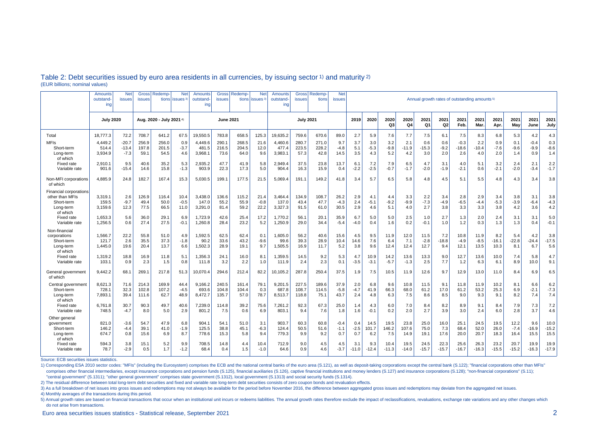|                                                                                         | Amounts<br>outstand<br>ing  | <b>Net</b><br>issues         | <b>Gross</b><br>issues  | Redemp-<br>tions         | <b>Net</b><br><i>issues</i> | Amounts<br>outstand<br>ing  | <b>Gross</b><br>issues  | Redemp<br>tions        | <b>Net</b><br>issues <sup>3</sup> | Amounts<br>outstand-<br>ing | <b>Gross</b><br>issues  | <b>Redemp</b><br>tions | <b>Net</b><br><b>issues</b> | Annual growth rates of outstanding amounts <sup>5)</sup> |                      |                      |                        |                        |                      |                          |                        |                        |                        |                        |                         |
|-----------------------------------------------------------------------------------------|-----------------------------|------------------------------|-------------------------|--------------------------|-----------------------------|-----------------------------|-------------------------|------------------------|-----------------------------------|-----------------------------|-------------------------|------------------------|-----------------------------|----------------------------------------------------------|----------------------|----------------------|------------------------|------------------------|----------------------|--------------------------|------------------------|------------------------|------------------------|------------------------|-------------------------|
|                                                                                         | <b>July 2020</b>            |                              |                         | Aug. 2020 - July 2021 4) |                             | <b>June 2021</b>            |                         |                        | <b>July 2021</b>                  |                             |                         |                        | 2019                        | 2020                                                     | 2020<br>Q3           | 2020<br>Q4           | 2021<br>Q <sub>1</sub> | 2021<br>Q2             | 2021<br>Feb.         | 2021<br><b>Mar</b>       | 2021<br>Apr.           | 2021<br>May            | 2021<br>June           | 2021<br>July           |                         |
| Total                                                                                   | 18.777.3                    | 72.2                         | 708.7                   | 641.2                    | 67.5                        | 19.550.5                    | 783.8                   | 658.5                  | 125.3                             | 19.635.2                    | 759.6                   | 670.6                  | 89.0                        | 2.7                                                      | 5.9                  | 7.6                  | 7.7                    | 7.5                    | 6.1                  | 7.5                      | 8.3                    | 6.8                    | 5.3                    | 4.2                    | 4.3                     |
| <b>MFIs</b><br>Short-term<br>Long-term<br>of which                                      | 4,449.2<br>514.4<br>3.934.9 | $-20.7$<br>$-13.4$<br>$-7.3$ | 256.9<br>197.8<br>59.1  | 256.0<br>201.5<br>54.5   | 0.9<br>$-3.7$<br>4.6        | 4,449.6<br>481.5<br>3,968.1 | 290.1<br>216.5<br>73.6  | 268.5<br>204.5<br>64.0 | 21.6<br>12.0<br>9.6               | 4,460.6<br>477.4<br>3,983.1 | 280.7<br>223.5<br>57.3  | 271.0<br>228.2<br>42.8 | 9.7<br>$-4.8$<br>14.5       | 3.7<br>5.1<br>3.5                                        | 3.0<br>$-5.3$<br>4.3 | 3.2<br>$-9.8$<br>5.2 | 2.1<br>$-11.9$<br>4.2  | 0.6<br>$-15.3$<br>3.0  | 0.6<br>$-9.2$<br>2.0 | $-0.3$<br>$-18.6$<br>2.6 | 2.2<br>$-10.4$<br>4.0  | 0.9<br>$-7.6$<br>2.0   | 0.1<br>$-9.6$<br>1.4   | -0.4<br>$-9.9$<br>0.9  | 0.3<br>$-8.6$<br>1.4    |
| Fixed rate<br>Variable rate                                                             | 2,910.1<br>901.6            | 9.5<br>$-15.4$               | 40.6<br>14.6            | 35.2<br>15.8             | 5.3<br>$-1.3$               | 2,935.2<br>903.9            | 47.7<br>22.3            | 41.9<br>17.3           | 5.8<br>5.0                        | 2,949.4<br>904.4            | 37.5<br>16.3            | 23.8<br>15.9           | 13.7<br>0.4                 | 6.1<br>$-2.2$                                            | 7.2<br>$-2.5$        | 7.9<br>$-0.7$        | 6.5<br>$-1.7$          | 4.7<br>$-2.0$          | 3.1<br>$-1.9$        | 4.0<br>$-2.1$            | 5.1<br>0.6             | 3.2<br>$-2.1$          | 2.4<br>$-2.0$          | 2.1<br>$-3.4$          | 2.2<br>$-1.7$           |
| Non-MFI corporations<br>of which                                                        | 4,885.9                     | 24.8                         | 182.7                   | 167.4                    | 15.3                        | 5,030.5                     | 199.1                   | 177.5                  | 21.5                              | 5,069.4                     | 191.1                   | 149.2                  | 41.8                        | 3.4                                                      | 5.7                  | 6.5                  | 5.8                    | 4.8                    | 4.5                  | 5.1                      | 5.5                    | 4.8                    | 4.3                    | 3.4                    | 3.8                     |
| <b>Financial corporations</b><br>other than MFIs<br>Short-term<br>Long-term<br>of which | 3.319.1<br>159.5<br>3,159.6 | 2.6<br>$-9.7$<br>12.3        | 126.9<br>49.4<br>77.5   | 116.4<br>50.0<br>66.5    | 10.4<br>$-0.5$<br>11.0      | 3,438.0<br>147.0<br>3,291.0 | 136.6<br>55.2<br>81.4   | 115.2<br>55.9<br>59.2  | 21.4<br>$-0.8$<br>22.2            | 3.464.4<br>137.0<br>3,327.3 | 134.9<br>43.4<br>91.5   | 108.7<br>47.7<br>61.0  | 26.2<br>$-4.3$<br>30.5      | 2.9<br>2.4<br>2.9                                        | 4.1<br>$-5.1$<br>4.6 | 4.4<br>$-9.2$<br>5.1 | 3.3<br>$-9.9$<br>4.0   | 2.2<br>$-7.3$<br>2.7   | 3.4<br>-4.9<br>3.8   | 2.8<br>$-6.5$<br>3.3     | 2.9<br>$-4.4$<br>3.3   | 3.4<br>$-5.3$<br>3.8   | 3.8<br>$-3.9$<br>4.2   | 3.1<br>$-6.4$<br>3.6   | 3.8<br>$-4.3$<br>4.2    |
| <b>Fixed rate</b><br>Variable rate                                                      | 1.653.3<br>1,256.5          | 5.6<br>0.6                   | 36.0<br>27.4            | 29.1<br>27.5             | 6.9<br>$-0.1$               | 1,723.9<br>1,260.8          | 42.6<br>28.4            | 25.4<br>23.2           | 17.2<br>5.2                       | 1.770.2<br>1,250.9          | 56.1<br>29.0            | 20.1<br>34.4           | 35.9<br>$-5.4$              | 6.7<br>$-4.0$                                            | 5.0<br>0.4           | 5.0<br>1.6           | 2.5<br>0.2             | 1.0<br>$-0.1$          | 2.7<br>1.0           | 1.3<br>1.2               | 2.0<br>0.3             | 2.4<br>1.3             | 3.1<br>1.3             | 3.1<br>0.4             | 5.0<br>$-0.1$           |
| Non-financia<br>corporations<br>Short-term<br>Long-term<br>of which                     | 1,566.7<br>121.7<br>1,445.0 | 22.2<br>2.6<br>19.6          | 55.8<br>35.5<br>20.4    | 51.0<br>37.3<br>13.7     | 4.9<br>$-1.8$<br>6.6        | 1,592.5<br>90.2<br>1,502.3  | 62.5<br>33.6<br>28.9    | 62.4<br>43.2<br>19.1   | 0.1<br>-9.6<br>9.7                | 1,605.0<br>99.6<br>1,505.5  | 56.2<br>39.3<br>16.9    | 40.6<br>28.9<br>11.7   | 15.6<br>10.4<br>5.2         | 4.5<br>14.6<br>3.8                                       | 9.5<br>7.6<br>9.6    | 11.9<br>6.4<br>12.4  | 12.0<br>7.1<br>12.4    | 11.5<br>$-2.8$<br>12.7 | 7.2<br>-18.8<br>9.4  | 10.8<br>$-4.9$<br>12.1   | 11.9<br>$-8.5$<br>13.5 | 8.2<br>$-16.1$<br>10.3 | 5.4<br>$-22.8$<br>8.1  | 4.2<br>$-24.4$<br>6.7  | 3.8<br>$-17.5$<br>5.6   |
| Fixed rate<br>Variable rate                                                             | 1.319.2<br>103.1            | 18.8<br>0.9                  | 16.9<br>2.3             | 11.8<br>1.5              | 5.1<br>0.8                  | 1,356.3<br>111.8            | 24.1<br>3.2             | 16.0<br>2.2            | 8.1<br>1.0                        | 1,359.5<br>111.9            | 14.5<br>2.4             | 9.2<br>2.3             | 5.3<br>0.1                  | 4.7<br>$-3.5$                                            | 10.9<br>$-3.1$       | 14.2<br>$-5.7$       | 13.6<br>$-1.3$         | 13.3<br>2.5            | 9.0<br>7.7           | 12.7<br>1.2              | 13.6<br>6.3            | 10.0<br>6.1            | 7.4<br>8.9             | 5.8<br>10.0            | 4.7<br>9.1              |
| General government<br>of which                                                          | 9,442.2                     | 68.1                         | 269.1                   | 217.8                    | 51.3                        | 10,070.4                    | 294.6                   | 212.4                  | 82.2                              | 10,105.2                    | 287.8                   | 250.4                  | 37.5                        | 1.9                                                      | 7.5                  | 10.5                 | 11.9                   | 12.6                   | 9.7                  | 12.9                     | 13.0                   | 11.0                   | 8.4                    | 6.9                    | 6.5                     |
| Central government<br>Short-term<br>Long-term<br>of which                               | 8.621.3<br>728.1<br>7.893.1 | 71.6<br>32.3<br>39.4         | 214.3<br>102.8<br>111.6 | 169.9<br>107.2<br>62.7   | 44.4<br>$-4.5$<br>48.9      | 9.166.2<br>693.6<br>8,472.7 | 240.5<br>104.8<br>135.7 | 161.4<br>104.4<br>57.0 | 79.1<br>0.3<br>78.7               | 9.201.5<br>687.8<br>8.513.7 | 227.5<br>108.7<br>118.8 | 189.6<br>114.5<br>75.1 | 37.9<br>$-5.8$<br>43.7      | 2.0<br>-4.7<br>2.4                                       | 6.8<br>41.9<br>4.8   | 9.6<br>66.3<br>6.3   | 10.8<br>68.0<br>7.5    | 11.5<br>61.2<br>8.6    | 9.1<br>17.0<br>8.5   | 11.8<br>61.2<br>9.0      | 11.9<br>53.2<br>9.3    | 10.2<br>25.3<br>9.1    | 8.1<br>6.9<br>8.2      | 6.6<br>$-2.1$<br>7.4   | 6.2<br>$-7.3$<br>7.4    |
| Fixed rate<br>Variable rate                                                             | 6,761.8<br>748.5            | 30.7<br>$-4.7$               | 90.3<br>8.0             | 49.7<br>5.0              | 40.6<br>2.9                 | 7,239.0<br>801.2            | 114.8<br>7.5            | 39.2<br>0.6            | 75.6<br>6.9                       | 7,261.2<br>803.1            | 92.3<br>9.4             | 67.3<br>7.6            | 25.0<br>1.8                 | 1.4<br>1.6                                               | 4.3<br>$-0.1$        | 6.0<br>0.2           | 7.0<br>2.0             | 8.4<br>2.7             | 8.2<br>3.9           | 8.9<br>3.0               | 9.1<br>2.4             | 8.4<br>6.0             | 7.9<br>2.8             | 7.3<br>3.7             | 7.2<br>4.6              |
| Other genera<br>government<br>Short-term<br>Long-term<br>of which                       | 821.0<br>146.2<br>674.7     | $-3.6$<br>$-4.4$<br>0.8      | 54.7<br>39.1<br>15.6    | 47.9<br>41.0<br>6.9      | 6.8<br>$-1.9$<br>8.7        | 904.1<br>125.5<br>778.6     | 54.1<br>38.8<br>15.3    | 51.0<br>45.1<br>5.8    | 3.1<br>$-6.3$<br>9.4              | 903.7<br>124.4<br>779.3     | 60.3<br>50.5<br>9.9     | 60.8<br>51.6<br>9.2    | $-0.4$<br>$-1.1$<br>0.7     | 0.4<br>$-2.5$<br>0.7                                     | 14.5<br>101.7<br>6.2 | 19.5<br>146.2<br>7.5 | 23.8<br>107.6<br>14.9  | 25.0<br>75.0<br>19.1   | 16.0<br>7.3<br>17.6  | 25.1<br>68.4<br>20.0     | 24.5<br>52.0<br>20.7   | 19.5<br>26.0<br>18.3   | 12.2<br>$-7.4$<br>16.4 | 9.6<br>$-16.9$<br>15.5 | 10.0<br>$-15.2$<br>15.5 |
| Fixed rate<br>Variable rate                                                             | 594.3<br>78.7               | 3.8<br>$-2.9$                | 15.1<br>0.5             | 5.2<br>1.7               | 9.9<br>$-1.2$               | 708.5<br>68.4               | 14.8<br>0.4             | 4.4<br>1.5             | 10.4<br>$-1.0$                    | 712.9<br>64.6               | 9.0<br>0.9              | 4.5<br>4.6             | 4.5<br>-3.7                 | 3.1<br>$-11.0$                                           | 9.3<br>$-12.4$       | 10.4<br>$-11.3$      | 19.5<br>$-14.0$        | 24.5<br>$-15.7$        | 22.3<br>$-15.7$      | 25.6<br>$-16.7$          | 26.3<br>$-16.3$        | 23.2<br>$-15.5$        | 20.7<br>$-15.2$        | 19.9<br>$-16.3$        | 19.9<br>$-17.9$         |

## Table 2: Debt securities issued by euro area residents in all currencies, by issuing sector 1) and maturity 2) (EUR billions; nominal values)

Source: ECB securities issues statistics.

1) Corresponding ESA 2010 sector codes: "MFIs" (including the Eurosystem) comprises the ECB and the national central banks of the euro area (S.121), as well as deposit-taking corporations except the central bank (S.122); " comprises other financial intermediaries, except insurance corporations and pension funds (S.125), financial auxiliaries (S.126), captive financial institutions and money lenders (S.127) and insurance corporations (S.128); "central government" (S.1311); "other general government" comprises state government (S.1312), local government (S.1313) and social security funds (S.1314).

2) The residual difference between total long-term debt securities and fixed and variable rate long-term debt securities consists of zero coupon bonds and revaluation effects.

3) As a full breakdown of net issues into gross issues and redemptions may not always be available for the period before November 2016, the difference between aggregated gross issues and redemptions may deviate from the ag

4) Monthly averages of the transactions during this period.

5) Annual growth rates are based on financial transactions that occur when an institutional unit incurs or redeems liabilities. The annual growth rates therefore exclude the impact of reclassifications, revaluations, excha do not arise from transactions.